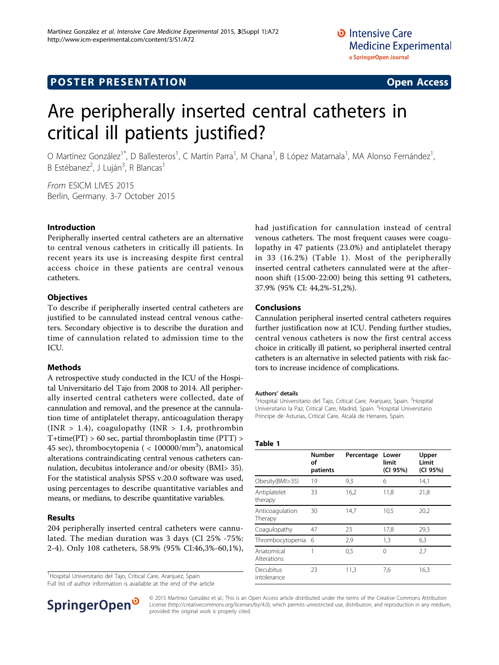## **POSTER PRESENTATION CONSUMING THE SERVICE SERVICE SERVICES**

# Are peripherally inserted central catheters in critical ill patients justified?

O Martínez González<sup>1\*</sup>, D Ballesteros<sup>1</sup>, C Martín Parra<sup>1</sup>, M Chana<sup>1</sup>, B López Matamala<sup>1</sup>, MA Alonso Fernández<sup>1</sup> , B Estébanez<sup>2</sup>, J Luján<sup>3</sup>, R Blancas<sup>1</sup>

From ESICM LIVES 2015 Berlin, Germany. 3-7 October 2015

#### Introduction

Peripherally inserted central catheters are an alternative to central venous catheters in critically ill patients. In recent years its use is increasing despite first central access choice in these patients are central venous catheters.

#### **Objectives**

To describe if peripherally inserted central catheters are justified to be cannulated instead central venous catheters. Secondary objective is to describe the duration and time of cannulation related to admission time to the ICU.

#### Methods

A retrospective study conducted in the ICU of the Hospital Universitario del Tajo from 2008 to 2014. All peripherally inserted central catheters were collected, date of cannulation and removal, and the presence at the cannulation time of antiplatelet therapy, anticoagulation therapy (INR  $> 1.4$ ), coagulopathy (INR  $> 1.4$ , prothrombin  $T+time(PT) > 60$  sec, partial thromboplastin time  $(PTT) > 0$ 45 sec), thrombocytopenia (  $< 100000/\mathrm{mm}^3$ ), anatomical alterations contraindicating central venous catheters cannulation, decubitus intolerance and/or obesity (BMI> 35). For the statistical analysis SPSS v.20.0 software was used, using percentages to describe quantitative variables and means, or medians, to describe quantitative variables.

#### Results

204 peripherally inserted central catheters were cannulated. The median duration was 3 days (CI 25% -75%: 2-4). Only 108 catheters, 58.9% (95% CI:46,3%-60,1%),

<sup>1</sup> Hospital Universitario del Tajo, Critical Care, Aranjuez, Spain

Full list of author information is available at the end of the article



#### Conclusions

Cannulation peripheral inserted central catheters requires further justification now at ICU. Pending further studies, central venous catheters is now the first central access choice in critically ill patient, so peripheral inserted central catheters is an alternative in selected patients with risk factors to increase incidence of complications.

#### Authors' details <sup>1</sup>

Hospital Universitario del Tajo, Critical Care, Aranjuez, Spain. <sup>2</sup>Hospital Universitario la Paz, Critical Care, Madrid, Spain. <sup>3</sup> Hospital Universitario Príncipe de Asturias, Critical Care, Alcalá de Henares, Spain.

#### Table 1

|                            | <b>Number</b><br>οf<br>patients | Percentage | Lower<br>limit<br>(CI 95%) | Upper<br>Limit<br>(CI 95%) |
|----------------------------|---------------------------------|------------|----------------------------|----------------------------|
| Obesity(BMI>35)            | 19                              | 9,3        | 6                          | 14,1                       |
| Antiplatelet<br>therapy    | 33                              | 16,2       | 11,8                       | 21,8                       |
| Anticoagulation<br>Therapy | 30                              | 14,7       | 10.5                       | 20,2                       |
| Coagulopathy               | 47                              | 23         | 17,8                       | 29,3                       |
| Thrombocytopenia           | 6                               | 2,9        | 1,3                        | 6,3                        |
| Anatomical<br>Alterations  | 1                               | 0,5        | $\Omega$                   | 2,7                        |
| Decubitus<br>intolerance   | 23                              | 11,3       | 7,6                        | 16,3                       |



© 2015 Martínez González et al.; This is an Open Access article distributed under the terms of the Creative Commons Attribution License [\(http://creativecommons.org/licenses/by/4.0](http://creativecommons.org/licenses/by/4.0)), which permits unrestricted use, distribution, and reproduction in any medium, provided the original work is properly cited.